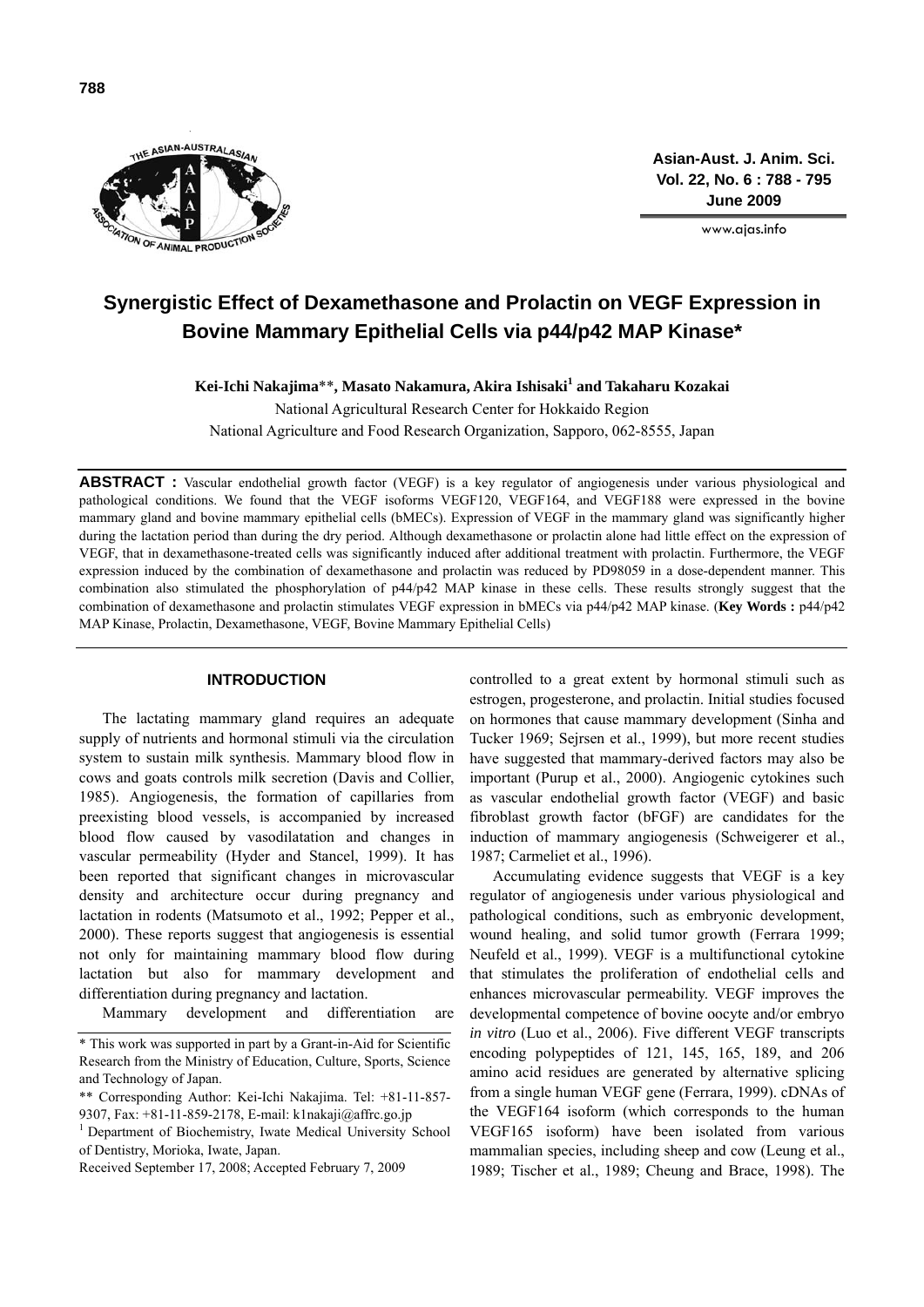

**Asian-Aust. J. Anim. Sci. Vol. 22, No. 6 : 788 - 795 June 2009**

www.ajas.info

# **Synergistic Effect of Dexamethasone and Prolactin on VEGF Expression in Bovine Mammary Epithelial Cells via p44/p42 MAP Kinase\***

**Kei-Ichi Nakajima**\*\***, Masato Nakamura, Akira Ishisaki1 and Takaharu Kozakai** 

National Agricultural Research Center for Hokkaido Region National Agriculture and Food Research Organization, Sapporo, 062-8555, Japan

**ABSTRACT :** Vascular endothelial growth factor (VEGF) is a key regulator of angiogenesis under various physiological and pathological conditions. We found that the VEGF isoforms VEGF120, VEGF164, and VEGF188 were expressed in the bovine mammary gland and bovine mammary epithelial cells (bMECs). Expression of VEGF in the mammary gland was significantly higher during the lactation period than during the dry period. Although dexamethasone or prolactin alone had little effect on the expression of VEGF, that in dexamethasone-treated cells was significantly induced after additional treatment with prolactin. Furthermore, the VEGF expression induced by the combination of dexamethasone and prolactin was reduced by PD98059 in a dose-dependent manner. This combination also stimulated the phosphorylation of  $p44/p42$  MAP kinase in these cells. These results strongly suggest that the combination of dexamethasone and prolactin stimulates VEGF expression in bMECs via p44/p42 MAP kinase. (**Key Words :** p44/p42 MAP Kinase, Prolactin, Dexamethasone, VEGF, Bovine Mammary Epithelial Cells)

## **INTRODUCTION**

The lactating mammary gland requires an adequate supply of nutrients and hormonal stimuli via the circulation system to sustain milk synthesis. Mammary blood flow in cows and goats controls milk secretion (Davis and Collier, 1985). Angiogenesis, the formation of capillaries from preexisting blood vessels, is accompanied by increased blood flow caused by vasodilatation and changes in vascular permeability (Hyder and Stancel, 1999). It has been reported that significant changes in microvascular density and architecture occur during pregnancy and lactation in rodents (Matsumoto et al., 1992; Pepper et al., 2000). These reports suggest that angiogenesis is essential not only for maintaining mammary blood flow during lactation but also for mammary development and differentiation during pregnancy and lactation.

Mammary development and differentiation are

controlled to a great extent by hormonal stimuli such as estrogen, progesterone, and prolactin. Initial studies focused on hormones that cause mammary development (Sinha and Tucker 1969; Sejrsen et al., 1999), but more recent studies have suggested that mammary-derived factors may also be important (Purup et al., 2000). Angiogenic cytokines such as vascular endothelial growth factor (VEGF) and basic fibroblast growth factor (bFGF) are candidates for the induction of mammary angiogenesis (Schweigerer et al., 1987; Carmeliet et al., 1996).

Accumulating evidence suggests that VEGF is a key regulator of angiogenesis under various physiological and pathological conditions, such as embryonic development, wound healing, and solid tumor growth (Ferrara 1999; Neufeld et al., 1999). VEGF is a multifunctional cytokine that stimulates the proliferation of endothelial cells and enhances microvascular permeability. VEGF improves the developmental competence of bovine oocyte and/or embryo *in vitro* (Luo et al., 2006). Five different VEGF transcripts encoding polypeptides of 121, 145, 165, 189, and 206 amino acid residues are generated by alternative splicing from a single human VEGF gene (Ferrara, 1999). cDNAs of the VEGF164 isoform (which corresponds to the human VEGF165 isoform) have been isolated from various mammalian species, including sheep and cow (Leung et al., 1989; Tischer et al., 1989; Cheung and Brace, 1998). The

<sup>\*</sup> This work was supported in part by a Grant-in-Aid for Scientific Research from the Ministry of Education, Culture, Sports, Science and Technology of Japan.

<sup>\*\*</sup> Corresponding Author: Kei-Ichi Nakajima. Tel: +81-11-857- 9307, Fax: +81-11-859-2178, E-mail: k1nakaji@affrc.go.jp

<sup>&</sup>lt;sup>1</sup> Department of Biochemistry, Iwate Medical University School of Dentistry, Morioka, Iwate, Japan.

Received September 17, 2008; Accepted February 7, 2009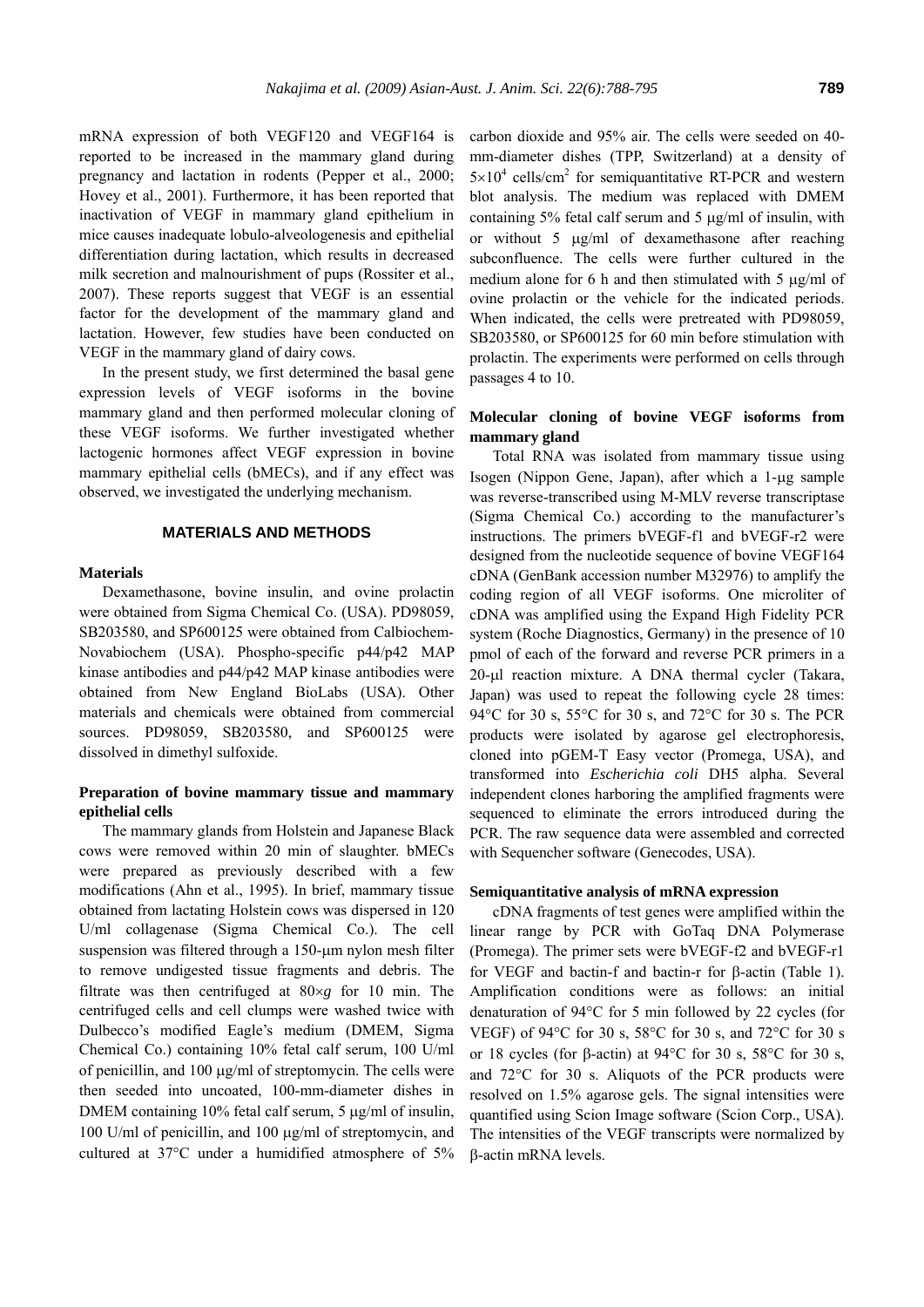mRNA expression of both VEGF120 and VEGF164 is reported to be increased in the mammary gland during pregnancy and lactation in rodents (Pepper et al., 2000; Hovey et al., 2001). Furthermore, it has been reported that inactivation of VEGF in mammary gland epithelium in mice causes inadequate lobulo-alveologenesis and epithelial differentiation during lactation, which results in decreased milk secretion and malnourishment of pups (Rossiter et al., 2007). These reports suggest that VEGF is an essential factor for the development of the mammary gland and lactation. However, few studies have been conducted on VEGF in the mammary gland of dairy cows.

In the present study, we first determined the basal gene expression levels of VEGF isoforms in the bovine mammary gland and then performed molecular cloning of these VEGF isoforms. We further investigated whether lactogenic hormones affect VEGF expression in bovine mammary epithelial cells (bMECs), and if any effect was observed, we investigated the underlying mechanism.

#### **MATERIALS AND METHODS**

#### **Materials**

Dexamethasone, bovine insulin, and ovine prolactin were obtained from Sigma Chemical Co. (USA). PD98059, SB203580, and SP600125 were obtained from Calbiochem-Novabiochem (USA). Phospho-specific p44/p42 MAP kinase antibodies and p44/p42 MAP kinase antibodies were obtained from New England BioLabs (USA). Other materials and chemicals were obtained from commercial sources. PD98059, SB203580, and SP600125 were dissolved in dimethyl sulfoxide.

## **Preparation of bovine mammary tissue and mammary epithelial cells**

The mammary glands from Holstein and Japanese Black cows were removed within 20 min of slaughter. bMECs were prepared as previously described with a few modifications (Ahn et al., 1995). In brief, mammary tissue obtained from lactating Holstein cows was dispersed in 120 U/ml collagenase (Sigma Chemical Co.). The cell suspension was filtered through a 150-μm nylon mesh filter to remove undigested tissue fragments and debris. The filtrate was then centrifuged at 80×*g* for 10 min. The centrifuged cells and cell clumps were washed twice with Dulbecco's modified Eagle's medium (DMEM, Sigma Chemical Co.) containing 10% fetal calf serum, 100 U/ml of penicillin, and 100 μg/ml of streptomycin. The cells were then seeded into uncoated, 100-mm-diameter dishes in DMEM containing 10% fetal calf serum, 5 μg/ml of insulin, 100 U/ml of penicillin, and 100 μg/ml of streptomycin, and cultured at 37°C under a humidified atmosphere of 5% carbon dioxide and 95% air. The cells were seeded on 40 mm-diameter dishes (TPP, Switzerland) at a density of  $5 \times 10^4$  cells/cm<sup>2</sup> for semiquantitative RT-PCR and western blot analysis. The medium was replaced with DMEM containing 5% fetal calf serum and 5 μg/ml of insulin, with or without 5 μg/ml of dexamethasone after reaching subconfluence. The cells were further cultured in the medium alone for 6 h and then stimulated with 5 μg/ml of ovine prolactin or the vehicle for the indicated periods. When indicated, the cells were pretreated with PD98059, SB203580, or SP600125 for 60 min before stimulation with prolactin. The experiments were performed on cells through passages 4 to 10.

# **Molecular cloning of bovine VEGF isoforms from mammary gland**

Total RNA was isolated from mammary tissue using Isogen (Nippon Gene, Japan), after which a 1-μg sample was reverse-transcribed using M-MLV reverse transcriptase (Sigma Chemical Co.) according to the manufacturer's instructions. The primers bVEGF-f1 and bVEGF-r2 were designed from the nucleotide sequence of bovine VEGF164 cDNA (GenBank accession number M32976) to amplify the coding region of all VEGF isoforms. One microliter of cDNA was amplified using the Expand High Fidelity PCR system (Roche Diagnostics, Germany) in the presence of 10 pmol of each of the forward and reverse PCR primers in a 20-μl reaction mixture. A DNA thermal cycler (Takara, Japan) was used to repeat the following cycle 28 times: 94°C for 30 s, 55°C for 30 s, and 72°C for 30 s. The PCR products were isolated by agarose gel electrophoresis, cloned into pGEM-T Easy vector (Promega, USA), and transformed into *Escherichia coli* DH5 alpha. Several independent clones harboring the amplified fragments were sequenced to eliminate the errors introduced during the PCR. The raw sequence data were assembled and corrected with Sequencher software (Genecodes, USA).

#### **Semiquantitative analysis of mRNA expression**

cDNA fragments of test genes were amplified within the linear range by PCR with GoTaq DNA Polymerase (Promega). The primer sets were bVEGF-f2 and bVEGF-r1 for VEGF and bactin-f and bactin-r for β-actin (Table 1). Amplification conditions were as follows: an initial denaturation of 94°C for 5 min followed by 22 cycles (for VEGF) of 94°C for 30 s, 58°C for 30 s, and 72°C for 30 s or 18 cycles (for β-actin) at 94°C for 30 s, 58°C for 30 s, and 72°C for 30 s. Aliquots of the PCR products were resolved on 1.5% agarose gels. The signal intensities were quantified using Scion Image software (Scion Corp., USA). The intensities of the VEGF transcripts were normalized by β-actin mRNA levels.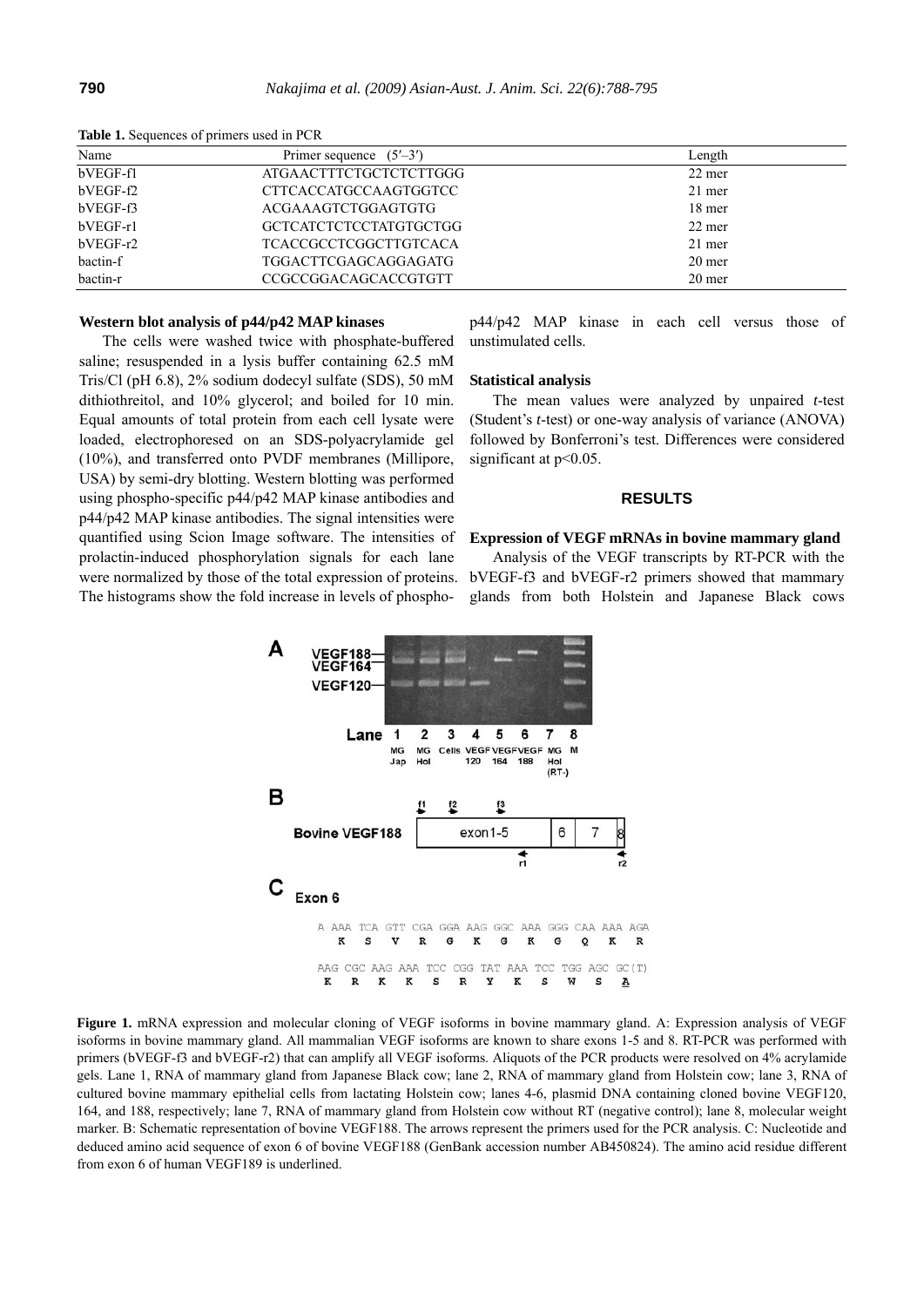| Name       | Primer sequence $(5'–3')$    | Length |
|------------|------------------------------|--------|
| bVEGF-f1   | ATGAACTTTCTGCTCTCTTGGG       | 22 mer |
| bVEGF-f2   | CTTCACCATGCCAAGTGGTCC        | 21 mer |
| bVEGF-f3   | ACGAAAGTCTGGAGTGTG           | 18 mer |
| bVEGF-r1   | GCTCATCTCTCCTATGTGCTGG       | 22 mer |
| $bVEGF-r2$ | <b>TCACCGCCTCGGCTTGTCACA</b> | 21 mer |
| bactin-f   | TGGACTTCGAGCAGGAGATG         | 20 mer |
| bactin-r   | CCGCCGGACAGCACCGTGTT         | 20 mer |

**Table 1.** Sequences of primers used in PCR

## **Western blot analysis of p44/p42 MAP kinases**

The cells were washed twice with phosphate-buffered saline; resuspended in a lysis buffer containing 62.5 mM Tris/Cl (pH 6.8), 2% sodium dodecyl sulfate (SDS), 50 mM dithiothreitol, and 10% glycerol; and boiled for 10 min. Equal amounts of total protein from each cell lysate were loaded, electrophoresed on an SDS-polyacrylamide gel (10%), and transferred onto PVDF membranes (Millipore, USA) by semi-dry blotting. Western blotting was performed using phospho-specific p44/p42 MAP kinase antibodies and p44/p42 MAP kinase antibodies. The signal intensities were quantified using Scion Image software. The intensities of prolactin-induced phosphorylation signals for each lane were normalized by those of the total expression of proteins. The histograms show the fold increase in levels of phosphop44/p42 MAP kinase in each cell versus those of unstimulated cells.

#### **Statistical analysis**

The mean values were analyzed by unpaired *t*-test (Student's *t*-test) or one-way analysis of variance (ANOVA) followed by Bonferroni's test. Differences were considered significant at  $p<0.05$ .

#### **RESULTS**

#### **Expression of VEGF mRNAs in bovine mammary gland**

Analysis of the VEGF transcripts by RT-PCR with the bVEGF-f3 and bVEGF-r2 primers showed that mammary glands from both Holstein and Japanese Black cows



**Figure 1.** mRNA expression and molecular cloning of VEGF isoforms in bovine mammary gland. A: Expression analysis of VEGF isoforms in bovine mammary gland. All mammalian VEGF isoforms are known to share exons 1-5 and 8. RT-PCR was performed with primers (bVEGF-f3 and bVEGF-r2) that can amplify all VEGF isoforms. Aliquots of the PCR products were resolved on 4% acrylamide gels. Lane 1, RNA of mammary gland from Japanese Black cow; lane 2, RNA of mammary gland from Holstein cow; lane 3, RNA of cultured bovine mammary epithelial cells from lactating Holstein cow; lanes 4-6, plasmid DNA containing cloned bovine VEGF120, 164, and 188, respectively; lane 7, RNA of mammary gland from Holstein cow without RT (negative control); lane 8, molecular weight marker. B: Schematic representation of bovine VEGF188. The arrows represent the primers used for the PCR analysis. C: Nucleotide and deduced amino acid sequence of exon 6 of bovine VEGF188 (GenBank accession number AB450824). The amino acid residue different from exon 6 of human VEGF189 is underlined.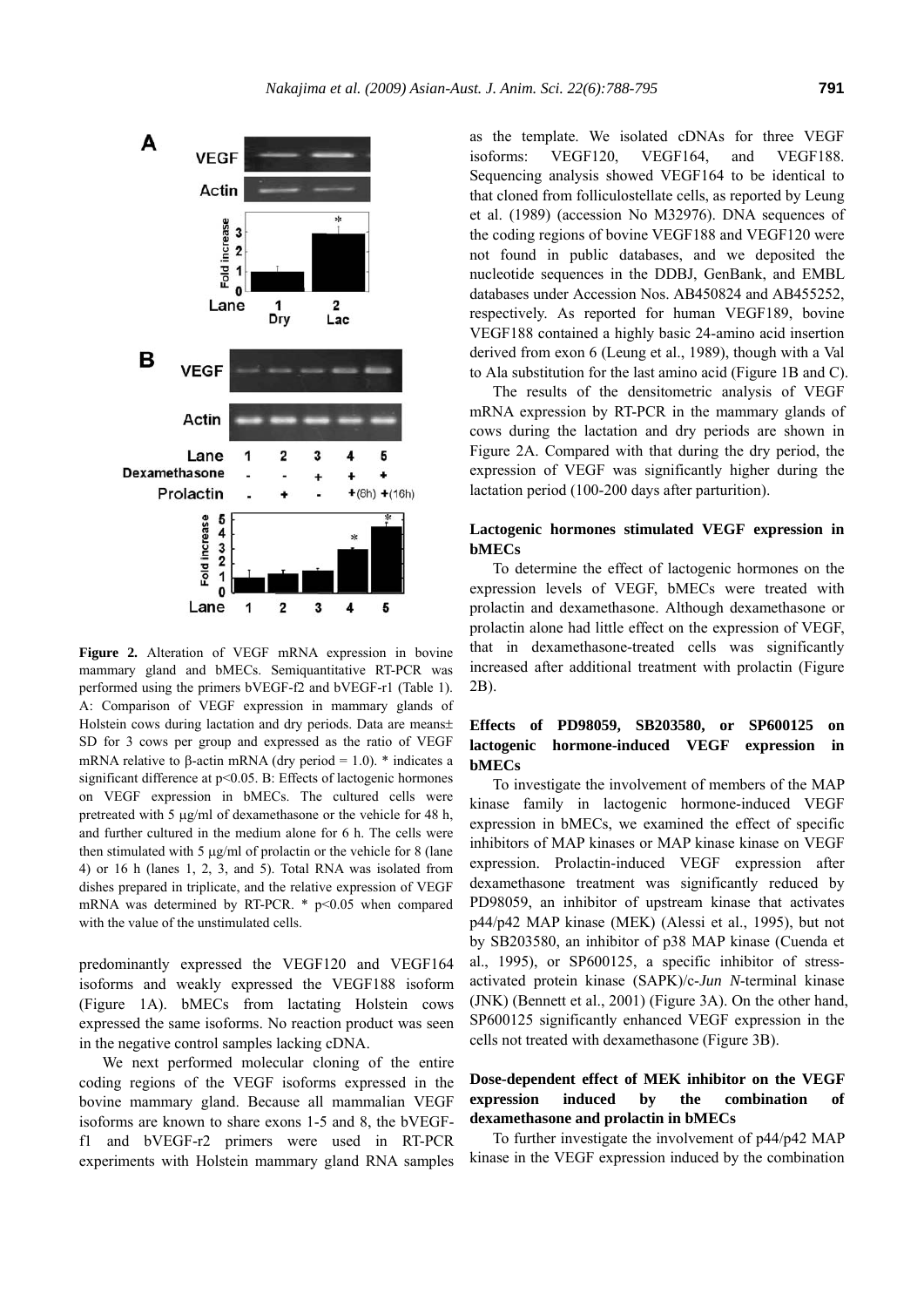

**Figure 2.** Alteration of VEGF mRNA expression in bovine mammary gland and bMECs. Semiquantitative RT-PCR was performed using the primers bVEGF-f2 and bVEGF-r1 (Table 1). A: Comparison of VEGF expression in mammary glands of Holstein cows during lactation and dry periods. Data are means $\pm$ SD for 3 cows per group and expressed as the ratio of VEGF mRNA relative to β-actin mRNA (dry period = 1.0).  $*$  indicates a significant difference at  $p$ <0.05. B: Effects of lactogenic hormones on VEGF expression in bMECs. The cultured cells were pretreated with 5 μg/ml of dexamethasone or the vehicle for 48 h, and further cultured in the medium alone for 6 h. The cells were then stimulated with 5 μg/ml of prolactin or the vehicle for 8 (lane 4) or 16 h (lanes 1, 2, 3, and 5). Total RNA was isolated from dishes prepared in triplicate, and the relative expression of VEGF mRNA was determined by RT-PCR.  $*$  p<0.05 when compared with the value of the unstimulated cells.

predominantly expressed the VEGF120 and VEGF164 isoforms and weakly expressed the VEGF188 isoform (Figure 1A). bMECs from lactating Holstein cows expressed the same isoforms. No reaction product was seen in the negative control samples lacking cDNA.

We next performed molecular cloning of the entire coding regions of the VEGF isoforms expressed in the bovine mammary gland. Because all mammalian VEGF isoforms are known to share exons 1-5 and 8, the bVEGFf1 and bVEGF-r2 primers were used in RT-PCR experiments with Holstein mammary gland RNA samples as the template. We isolated cDNAs for three VEGF isoforms: VEGF120, VEGF164, and VEGF188. Sequencing analysis showed VEGF164 to be identical to that cloned from folliculostellate cells, as reported by Leung et al. (1989) (accession No M32976). DNA sequences of the coding regions of bovine VEGF188 and VEGF120 were not found in public databases, and we deposited the nucleotide sequences in the DDBJ, GenBank, and EMBL databases under Accession Nos. AB450824 and AB455252, respectively. As reported for human VEGF189, bovine VEGF188 contained a highly basic 24-amino acid insertion derived from exon 6 (Leung et al., 1989), though with a Val to Ala substitution for the last amino acid (Figure 1B and C).

The results of the densitometric analysis of VEGF mRNA expression by RT-PCR in the mammary glands of cows during the lactation and dry periods are shown in Figure 2A. Compared with that during the dry period, the expression of VEGF was significantly higher during the lactation period (100-200 days after parturition).

## **Lactogenic hormones stimulated VEGF expression in bMECs**

To determine the effect of lactogenic hormones on the expression levels of VEGF, bMECs were treated with prolactin and dexamethasone. Although dexamethasone or prolactin alone had little effect on the expression of VEGF, that in dexamethasone-treated cells was significantly increased after additional treatment with prolactin (Figure 2B).

# **Effects of PD98059, SB203580, or SP600125 on lactogenic hormone-induced VEGF expression in bMECs**

To investigate the involvement of members of the MAP kinase family in lactogenic hormone-induced VEGF expression in bMECs, we examined the effect of specific inhibitors of MAP kinases or MAP kinase kinase on VEGF expression. Prolactin-induced VEGF expression after dexamethasone treatment was significantly reduced by PD98059, an inhibitor of upstream kinase that activates p44/p42 MAP kinase (MEK) (Alessi et al., 1995), but not by SB203580, an inhibitor of p38 MAP kinase (Cuenda et al., 1995), or SP600125, a specific inhibitor of stressactivated protein kinase (SAPK)/c-*Jun N*-terminal kinase (JNK) (Bennett et al., 2001) (Figure 3A). On the other hand, SP600125 significantly enhanced VEGF expression in the cells not treated with dexamethasone (Figure 3B).

## **Dose-dependent effect of MEK inhibitor on the VEGF expression induced by the combination of dexamethasone and prolactin in bMECs**

To further investigate the involvement of p44/p42 MAP kinase in the VEGF expression induced by the combination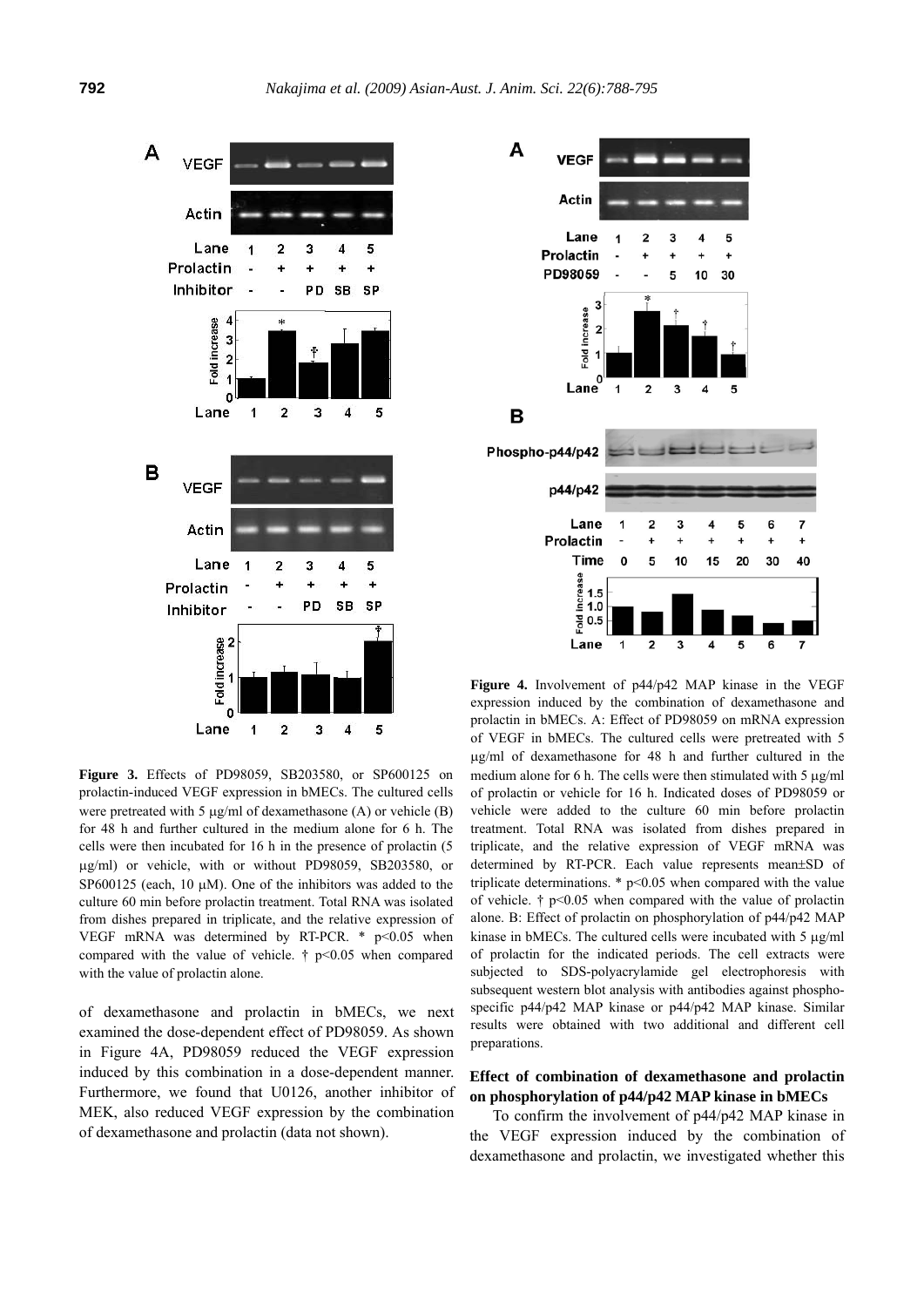

**Figure 3.** Effects of PD98059, SB203580, or SP600125 on prolactin-induced VEGF expression in bMECs. The cultured cells were pretreated with 5 μg/ml of dexamethasone (A) or vehicle (B) for 48 h and further cultured in the medium alone for 6 h. The cells were then incubated for 16 h in the presence of prolactin (5 μg/ml) or vehicle, with or without PD98059, SB203580, or SP600125 (each, 10  $\mu$ M). One of the inhibitors was added to the culture 60 min before prolactin treatment. Total RNA was isolated from dishes prepared in triplicate, and the relative expression of VEGF mRNA was determined by RT-PCR.  $*$  p<0.05 when compared with the value of vehicle.  $\uparrow$  p<0.05 when compared with the value of prolactin alone.

of dexamethasone and prolactin in bMECs, we next examined the dose-dependent effect of PD98059. As shown in Figure 4A, PD98059 reduced the VEGF expression induced by this combination in a dose-dependent manner. Furthermore, we found that U0126, another inhibitor of MEK, also reduced VEGF expression by the combination of dexamethasone and prolactin (data not shown).



**Figure 4.** Involvement of p44/p42 MAP kinase in the VEGF expression induced by the combination of dexamethasone and prolactin in bMECs. A: Effect of PD98059 on mRNA expression of VEGF in bMECs. The cultured cells were pretreated with 5 μg/ml of dexamethasone for 48 h and further cultured in the medium alone for 6 h. The cells were then stimulated with 5 μg/ml of prolactin or vehicle for 16 h. Indicated doses of PD98059 or vehicle were added to the culture 60 min before prolactin treatment. Total RNA was isolated from dishes prepared in triplicate, and the relative expression of VEGF mRNA was determined by RT-PCR. Each value represents mean±SD of triplicate determinations.  $*$  p<0.05 when compared with the value of vehicle.  $\dagger$  p<0.05 when compared with the value of prolactin alone. B: Effect of prolactin on phosphorylation of p44/p42 MAP kinase in bMECs. The cultured cells were incubated with 5 μg/ml of prolactin for the indicated periods. The cell extracts were subjected to SDS-polyacrylamide gel electrophoresis with subsequent western blot analysis with antibodies against phosphospecific p44/p42 MAP kinase or p44/p42 MAP kinase. Similar results were obtained with two additional and different cell preparations.

# **Effect of combination of dexamethasone and prolactin on phosphorylation of p44/p42 MAP kinase in bMECs**

To confirm the involvement of p44/p42 MAP kinase in the VEGF expression induced by the combination of dexamethasone and prolactin, we investigated whether this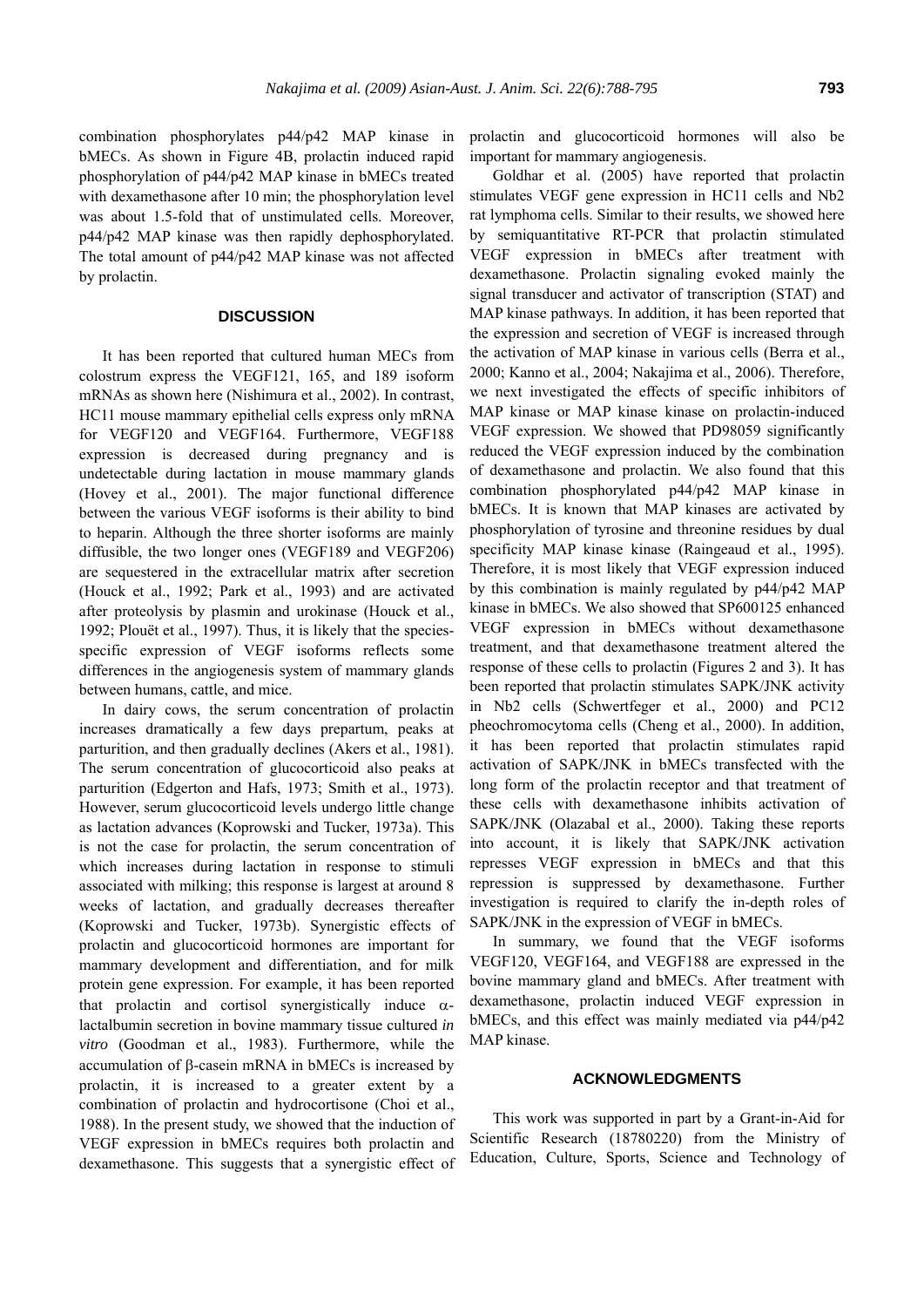combination phosphorylates p44/p42 MAP kinase in bMECs. As shown in Figure 4B, prolactin induced rapid phosphorylation of p44/p42 MAP kinase in bMECs treated with dexamethasone after 10 min; the phosphorylation level was about 1.5-fold that of unstimulated cells. Moreover, p44/p42 MAP kinase was then rapidly dephosphorylated. The total amount of p44/p42 MAP kinase was not affected by prolactin.

## **DISCUSSION**

It has been reported that cultured human MECs from colostrum express the VEGF121, 165, and 189 isoform mRNAs as shown here (Nishimura et al., 2002). In contrast, HC11 mouse mammary epithelial cells express only mRNA for VEGF120 and VEGF164. Furthermore, VEGF188 expression is decreased during pregnancy and is undetectable during lactation in mouse mammary glands (Hovey et al., 2001). The major functional difference between the various VEGF isoforms is their ability to bind to heparin. Although the three shorter isoforms are mainly diffusible, the two longer ones (VEGF189 and VEGF206) are sequestered in the extracellular matrix after secretion (Houck et al., 1992; Park et al., 1993) and are activated after proteolysis by plasmin and urokinase (Houck et al., 1992; Plouët et al., 1997). Thus, it is likely that the speciesspecific expression of VEGF isoforms reflects some differences in the angiogenesis system of mammary glands between humans, cattle, and mice.

In dairy cows, the serum concentration of prolactin increases dramatically a few days prepartum, peaks at parturition, and then gradually declines (Akers et al., 1981). The serum concentration of glucocorticoid also peaks at parturition (Edgerton and Hafs, 1973; Smith et al., 1973). However, serum glucocorticoid levels undergo little change as lactation advances (Koprowski and Tucker, 1973a). This is not the case for prolactin, the serum concentration of which increases during lactation in response to stimuli associated with milking; this response is largest at around 8 weeks of lactation, and gradually decreases thereafter (Koprowski and Tucker, 1973b). Synergistic effects of prolactin and glucocorticoid hormones are important for mammary development and differentiation, and for milk protein gene expression. For example, it has been reported that prolactin and cortisol synergistically induce  $\alpha$ lactalbumin secretion in bovine mammary tissue cultured *in vitro* (Goodman et al., 1983). Furthermore, while the accumulation of β-casein mRNA in bMECs is increased by prolactin, it is increased to a greater extent by a combination of prolactin and hydrocortisone (Choi et al., 1988). In the present study, we showed that the induction of VEGF expression in bMECs requires both prolactin and dexamethasone. This suggests that a synergistic effect of prolactin and glucocorticoid hormones will also be important for mammary angiogenesis.

Goldhar et al. (2005) have reported that prolactin stimulates VEGF gene expression in HC11 cells and Nb2 rat lymphoma cells. Similar to their results, we showed here by semiquantitative RT-PCR that prolactin stimulated VEGF expression in bMECs after treatment with dexamethasone. Prolactin signaling evoked mainly the signal transducer and activator of transcription (STAT) and MAP kinase pathways. In addition, it has been reported that the expression and secretion of VEGF is increased through the activation of MAP kinase in various cells (Berra et al., 2000; Kanno et al., 2004; Nakajima et al., 2006). Therefore, we next investigated the effects of specific inhibitors of MAP kinase or MAP kinase kinase on prolactin-induced VEGF expression. We showed that PD98059 significantly reduced the VEGF expression induced by the combination of dexamethasone and prolactin. We also found that this combination phosphorylated p44/p42 MAP kinase in bMECs. It is known that MAP kinases are activated by phosphorylation of tyrosine and threonine residues by dual specificity MAP kinase kinase (Raingeaud et al., 1995). Therefore, it is most likely that VEGF expression induced by this combination is mainly regulated by p44/p42 MAP kinase in bMECs. We also showed that SP600125 enhanced VEGF expression in bMECs without dexamethasone treatment, and that dexamethasone treatment altered the response of these cells to prolactin (Figures 2 and 3). It has been reported that prolactin stimulates SAPK/JNK activity in Nb2 cells (Schwertfeger et al., 2000) and PC12 pheochromocytoma cells (Cheng et al., 2000). In addition, it has been reported that prolactin stimulates rapid activation of SAPK/JNK in bMECs transfected with the long form of the prolactin receptor and that treatment of these cells with dexamethasone inhibits activation of SAPK/JNK (Olazabal et al., 2000). Taking these reports into account, it is likely that SAPK/JNK activation represses VEGF expression in bMECs and that this repression is suppressed by dexamethasone. Further investigation is required to clarify the in-depth roles of SAPK/JNK in the expression of VEGF in bMECs.

In summary, we found that the VEGF isoforms VEGF120, VEGF164, and VEGF188 are expressed in the bovine mammary gland and bMECs. After treatment with dexamethasone, prolactin induced VEGF expression in bMECs, and this effect was mainly mediated via p44/p42 MAP kinase.

#### **ACKNOWLEDGMENTS**

This work was supported in part by a Grant-in-Aid for Scientific Research (18780220) from the Ministry of Education, Culture, Sports, Science and Technology of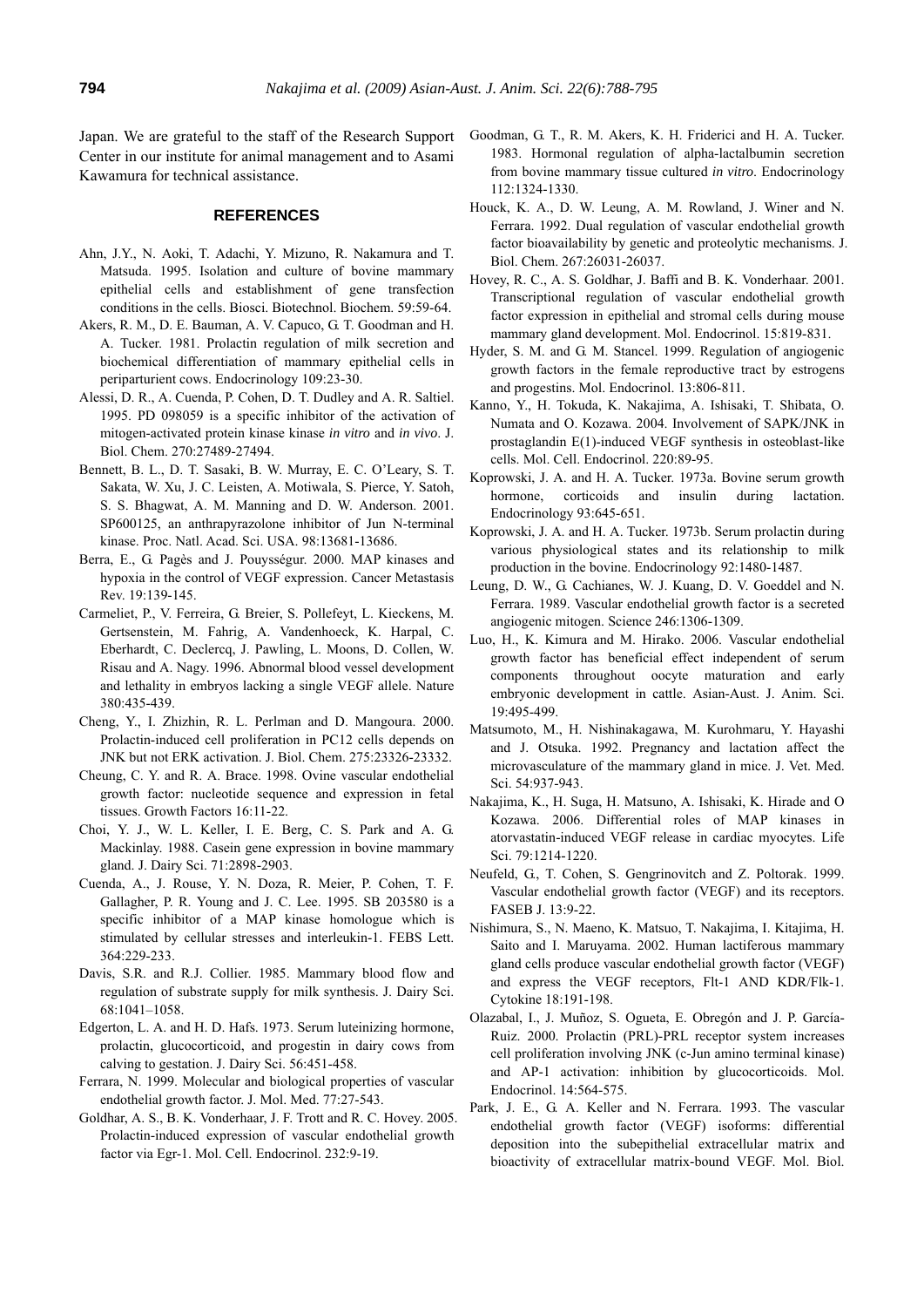Japan. We are grateful to the staff of the Research Support Center in our institute for animal management and to Asami Kawamura for technical assistance.

### **REFERENCES**

- Ahn, J.Y., N. Aoki, T. Adachi, Y. Mizuno, R. Nakamura and T. Matsuda. 1995. Isolation and culture of bovine mammary epithelial cells and establishment of gene transfection conditions in the cells. Biosci. Biotechnol. Biochem. 59:59-64.
- Akers, R. M., D. E. Bauman, A. V. Capuco, G. T. Goodman and H. A. Tucker. 1981. Prolactin regulation of milk secretion and biochemical differentiation of mammary epithelial cells in periparturient cows. Endocrinology 109:23-30.
- Alessi, D. R., A. Cuenda, P. Cohen, D. T. Dudley and A. R. Saltiel. 1995. PD 098059 is a specific inhibitor of the activation of mitogen-activated protein kinase kinase *in vitro* and *in vivo*. J. Biol. Chem. 270:27489-27494.
- Bennett, B. L., D. T. Sasaki, B. W. Murray, E. C. O'Leary, S. T. Sakata, W. Xu, J. C. Leisten, A. Motiwala, S. Pierce, Y. Satoh, S. S. Bhagwat, A. M. Manning and D. W. Anderson. 2001. SP600125, an anthrapyrazolone inhibitor of Jun N-terminal kinase. Proc. Natl. Acad. Sci. USA. 98:13681-13686.
- Berra, E., G. Pagès and J. Pouysségur. 2000. MAP kinases and hypoxia in the control of VEGF expression. Cancer Metastasis Rev. 19:139-145.
- Carmeliet, P., V. Ferreira, G. Breier, S. Pollefeyt, L. Kieckens, M. Gertsenstein, M. Fahrig, A. Vandenhoeck, K. Harpal, C. Eberhardt, C. Declercq, J. Pawling, L. Moons, D. Collen, W. Risau and A. Nagy. 1996. Abnormal blood vessel development and lethality in embryos lacking a single VEGF allele. Nature 380:435-439.
- Cheng, Y., I. Zhizhin, R. L. Perlman and D. Mangoura. 2000. Prolactin-induced cell proliferation in PC12 cells depends on JNK but not ERK activation. J. Biol. Chem. 275:23326-23332.
- Cheung, C. Y. and R. A. Brace. 1998. Ovine vascular endothelial growth factor: nucleotide sequence and expression in fetal tissues. Growth Factors 16:11-22.
- Choi, Y. J., W. L. Keller, I. E. Berg, C. S. Park and A. G. Mackinlay. 1988. Casein gene expression in bovine mammary gland. J. Dairy Sci. 71:2898-2903.
- Cuenda, A., J. Rouse, Y. N. Doza, R. Meier, P. Cohen, T. F. Gallagher, P. R. Young and J. C. Lee. 1995. SB 203580 is a specific inhibitor of a MAP kinase homologue which is stimulated by cellular stresses and interleukin-1. FEBS Lett. 364:229-233.
- Davis, S.R. and R.J. Collier. 1985. Mammary blood flow and regulation of substrate supply for milk synthesis. J. Dairy Sci. 68:1041–1058.
- Edgerton, L. A. and H. D. Hafs. 1973. Serum luteinizing hormone, prolactin, glucocorticoid, and progestin in dairy cows from calving to gestation. J. Dairy Sci. 56:451-458.
- Ferrara, N. 1999. Molecular and biological properties of vascular endothelial growth factor. J. Mol. Med. 77:27-543.
- Goldhar, A. S., B. K. Vonderhaar, J. F. Trott and R. C. Hovey. 2005. Prolactin-induced expression of vascular endothelial growth factor via Egr-1. Mol. Cell. Endocrinol. 232:9-19.
- Goodman, G. T., R. M. Akers, K. H. Friderici and H. A. Tucker. 1983. Hormonal regulation of alpha-lactalbumin secretion from bovine mammary tissue cultured *in vitro*. Endocrinology 112:1324-1330.
- Houck, K. A., D. W. Leung, A. M. Rowland, J. Winer and N. Ferrara. 1992. Dual regulation of vascular endothelial growth factor bioavailability by genetic and proteolytic mechanisms. J. Biol. Chem. 267:26031-26037.
- Hovey, R. C., A. S. Goldhar, J. Baffi and B. K. Vonderhaar. 2001. Transcriptional regulation of vascular endothelial growth factor expression in epithelial and stromal cells during mouse mammary gland development. Mol. Endocrinol. 15:819-831.
- Hyder, S. M. and G. M. Stancel. 1999. Regulation of angiogenic growth factors in the female reproductive tract by estrogens and progestins. Mol. Endocrinol. 13:806-811.
- Kanno, Y., H. Tokuda, K. Nakajima, A. Ishisaki, T. Shibata, O. Numata and O. Kozawa. 2004. Involvement of SAPK/JNK in prostaglandin E(1)-induced VEGF synthesis in osteoblast-like cells. Mol. Cell. Endocrinol. 220:89-95.
- Koprowski, J. A. and H. A. Tucker. 1973a. Bovine serum growth hormone, corticoids and insulin during lactation. Endocrinology 93:645-651.
- Koprowski, J. A. and H. A. Tucker. 1973b. Serum prolactin during various physiological states and its relationship to milk production in the bovine. Endocrinology 92:1480-1487.
- Leung, D. W., G. Cachianes, W. J. Kuang, D. V. Goeddel and N. Ferrara. 1989. Vascular endothelial growth factor is a secreted angiogenic mitogen. Science 246:1306-1309.
- Luo, H., K. Kimura and M. Hirako. 2006. Vascular endothelial growth factor has beneficial effect independent of serum components throughout oocyte maturation and early embryonic development in cattle. Asian-Aust. J. Anim. Sci. 19:495-499.
- Matsumoto, M., H. Nishinakagawa, M. Kurohmaru, Y. Hayashi and J. Otsuka. 1992. Pregnancy and lactation affect the microvasculature of the mammary gland in mice. J. Vet. Med. Sci. 54:937-943.
- Nakajima, K., H. Suga, H. Matsuno, A. Ishisaki, K. Hirade and O Kozawa. 2006. Differential roles of MAP kinases in atorvastatin-induced VEGF release in cardiac myocytes. Life Sci. 79:1214-1220.
- Neufeld, G., T. Cohen, S. Gengrinovitch and Z. Poltorak. 1999. Vascular endothelial growth factor (VEGF) and its receptors. FASEB J. 13:9-22.
- Nishimura, S., N. Maeno, K. Matsuo, T. Nakajima, I. Kitajima, H. Saito and I. Maruyama. 2002. Human lactiferous mammary gland cells produce vascular endothelial growth factor (VEGF) and express the VEGF receptors, Flt-1 AND KDR/Flk-1. Cytokine 18:191-198.
- Olazabal, I., J. Muñoz, S. Ogueta, E. Obregón and J. P. García-Ruiz. 2000. Prolactin (PRL)-PRL receptor system increases cell proliferation involving JNK (c-Jun amino terminal kinase) and AP-1 activation: inhibition by glucocorticoids. Mol. Endocrinol. 14:564-575.
- Park, J. E., G. A. Keller and N. Ferrara. 1993. The vascular endothelial growth factor (VEGF) isoforms: differential deposition into the subepithelial extracellular matrix and bioactivity of extracellular matrix-bound VEGF. Mol. Biol.